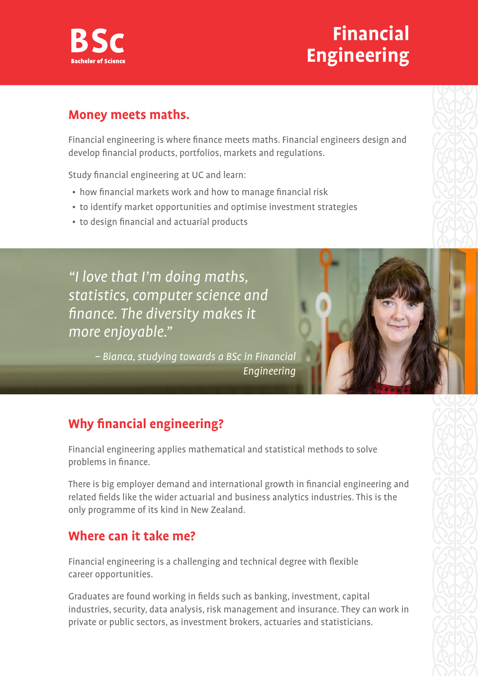

# **Financial Engineering**

### **Money meets maths.**

Financial engineering is where finance meets maths. Financial engineers design and develop financial products, portfolios, markets and regulations.

Study financial engineering at UC and learn:

- how financial markets work and how to manage financial risk
- to identify market opportunities and optimise investment strategies
- to design financial and actuarial products

"I love that I'm doing maths, statistics, computer science and finance. The diversity makes it more enjoyable."

> – Bianca, studying towards a BSc in Financial Engineering

## **Why financial engineering?**

Financial engineering applies mathematical and statistical methods to solve problems in finance.

There is big employer demand and international growth in financial engineering and related fields like the wider actuarial and business analytics industries. This is the only programme of its kind in New Zealand.

### **Where can it take me?**

Financial engineering is a challenging and technical degree with flexible career opportunities.

Graduates are found working in fields such as banking, investment, capital industries, security, data analysis, risk management and insurance. They can work in private or public sectors, as investment brokers, actuaries and statisticians.